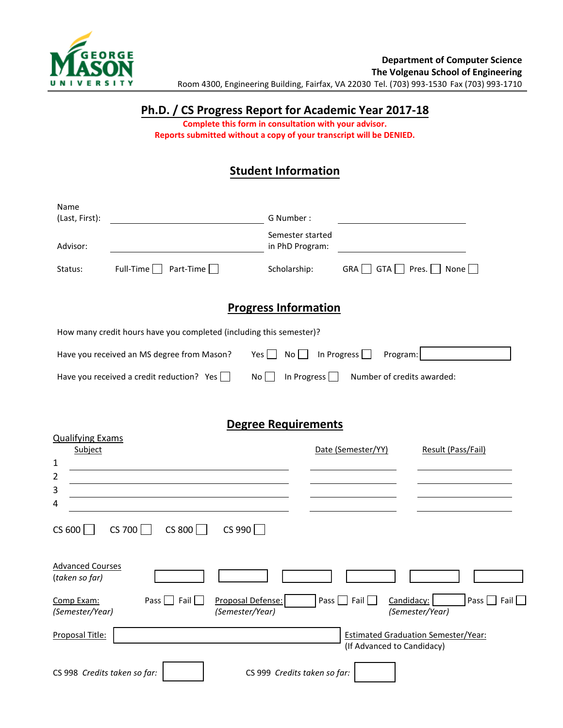

### **Ph.D. / CS Progress Report for Academic Year 2017-18**

**Complete this form in consultation with your advisor. Reports submitted without a copy of your transcript will be DENIED.** 

## **Student Information**

| Name<br>(Last, First):                                                                                      |                                                                      | G Number:                           |                                                |  |  |
|-------------------------------------------------------------------------------------------------------------|----------------------------------------------------------------------|-------------------------------------|------------------------------------------------|--|--|
| Advisor:                                                                                                    |                                                                      | Semester started<br>in PhD Program: |                                                |  |  |
| Status:                                                                                                     | Part-Time $\Box$<br>Full-Time                                        | Scholarship:                        | <b>GRA</b><br>Pres. $\vert$<br>None    <br>GTA |  |  |
| <b>Progress Information</b>                                                                                 |                                                                      |                                     |                                                |  |  |
| How many credit hours have you completed (including this semester)?                                         |                                                                      |                                     |                                                |  |  |
|                                                                                                             | Have you received an MS degree from Mason?<br>$Yes$   $\blacksquare$ | In Progress<br>Program:             |                                                |  |  |
| Number of credits awarded:<br>Have you received a credit reduction? Yes  <br>In Progress<br>No <sub>1</sub> |                                                                      |                                     |                                                |  |  |

### **Degree Requirements**

| <b>Qualifying Exams</b>                                                                          |                            |                                                          |
|--------------------------------------------------------------------------------------------------|----------------------------|----------------------------------------------------------|
| Subject                                                                                          | Date (Semester/YY)         | Result (Pass/Fail)                                       |
| 1                                                                                                |                            |                                                          |
| $\overline{2}$                                                                                   |                            |                                                          |
| 3                                                                                                |                            |                                                          |
| 4                                                                                                |                            |                                                          |
| $CS$ 990<br>CS 600<br>$CS$ 700<br>CS 800                                                         |                            |                                                          |
| <b>Advanced Courses</b><br>(taken so far)                                                        |                            |                                                          |
| Pass $\Box$ Fail $\Box$<br>Proposal Defense:<br>Comp Exam:<br>(Semester/Year)<br>(Semester/Year) | Fail $\Box$<br>Pass $\Box$ | Pass $\Box$ Fail $\Box$<br>Candidacy:<br>(Semester/Year) |
| Proposal Title:                                                                                  | (If Advanced to Candidacy) | <b>Estimated Graduation Semester/Year:</b>               |
| CS 998 Credits taken so far:<br>CS 999 Credits taken so far:                                     |                            |                                                          |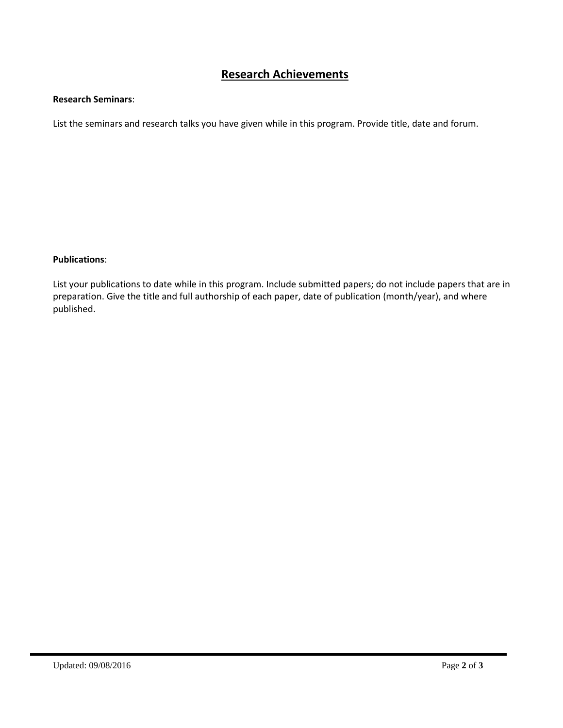# **Research Achievements**

#### **Research Seminars**:

List the seminars and research talks you have given while in this program. Provide title, date and forum.

### **Publications**:

List your publications to date while in this program. Include submitted papers; do not include papers that are in preparation. Give the title and full authorship of each paper, date of publication (month/year), and where published.